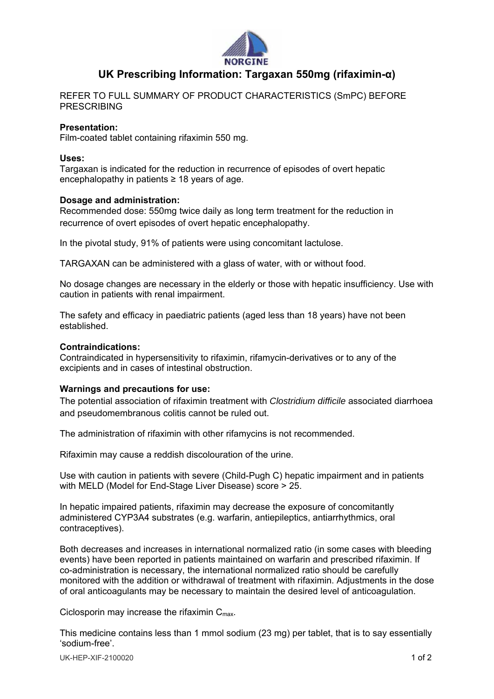

# **UK Prescribing Information: Targaxan 550mg (rifaximin-α)**

REFER TO FULL SUMMARY OF PRODUCT CHARACTERISTICS (SmPC) BEFORE PRESCRIBING

### **Presentation:**

Film-coated tablet containing rifaximin 550 mg.

### **Uses:**

Targaxan is indicated for the reduction in recurrence of episodes of overt hepatic encephalopathy in patients  $\geq$  18 years of age.

### **Dosage and administration:**

Recommended dose: 550mg twice daily as long term treatment for the reduction in recurrence of overt episodes of overt hepatic encephalopathy.

In the pivotal study, 91% of patients were using concomitant lactulose.

TARGAXAN can be administered with a glass of water, with or without food.

No dosage changes are necessary in the elderly or those with hepatic insufficiency. Use with caution in patients with renal impairment.

The safety and efficacy in paediatric patients (aged less than 18 years) have not been established.

### **Contraindications:**

Contraindicated in hypersensitivity to rifaximin, rifamycin-derivatives or to any of the excipients and in cases of intestinal obstruction.

### **Warnings and precautions for use:**

The potential association of rifaximin treatment with *Clostridium difficile* associated diarrhoea and pseudomembranous colitis cannot be ruled out.

The administration of rifaximin with other rifamycins is not recommended.

Rifaximin may cause a reddish discolouration of the urine.

Use with caution in patients with severe (Child-Pugh C) hepatic impairment and in patients with MELD (Model for End-Stage Liver Disease) score > 25.

In hepatic impaired patients, rifaximin may decrease the exposure of concomitantly administered CYP3A4 substrates (e.g. warfarin, antiepileptics, antiarrhythmics, oral contraceptives).

Both decreases and increases in international normalized ratio (in some cases with bleeding events) have been reported in patients maintained on warfarin and prescribed rifaximin. If co-administration is necessary, the international normalized ratio should be carefully monitored with the addition or withdrawal of treatment with rifaximin. Adjustments in the dose of oral anticoagulants may be necessary to maintain the desired level of anticoagulation.

Ciclosporin may increase the rifaximin  $C_{\text{max}}$ .

This medicine contains less than 1 mmol sodium (23 mg) per tablet, that is to say essentially 'sodium-free'.